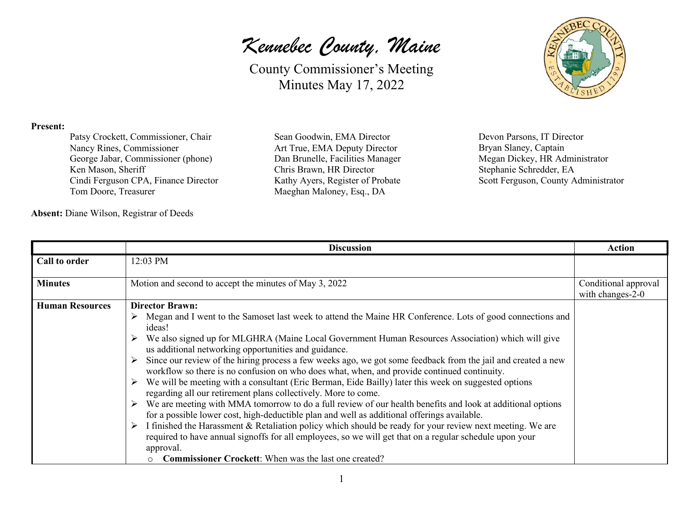County Commissioner's Meeting Minutes May 17, 2022

### **Present:**

Patsy Crockett, Commissioner, Chair Nancy Rines, Commissioner George Jabar, Commissioner (phone) Ken Mason, Sheriff Cindi Ferguson CPA, Finance Director Tom Doore, Treasurer

**Absent:** Diane Wilson, Registrar of Deeds

Sean Goodwin, EMA Director Art True, EMA Deputy Director Dan Brunelle, Facilities Manager Chris Brawn, HR Director Kathy Ayers, Register of Probate Maeghan Maloney, Esq., DA

Devon Parsons, IT Director Bryan Slaney, Captain Megan Dickey, HR Administrator Stephanie Schredder, EA Scott Ferguson, County Administrator

|                        | <b>Discussion</b>                                                                                                                                                                                                                                                                                                                                                                                                                                                                                                                                                                                                                                                                                                                                                                                                                                                                                                                                                                                                                                                                                                                                                                                                                                     | <b>Action</b>                            |
|------------------------|-------------------------------------------------------------------------------------------------------------------------------------------------------------------------------------------------------------------------------------------------------------------------------------------------------------------------------------------------------------------------------------------------------------------------------------------------------------------------------------------------------------------------------------------------------------------------------------------------------------------------------------------------------------------------------------------------------------------------------------------------------------------------------------------------------------------------------------------------------------------------------------------------------------------------------------------------------------------------------------------------------------------------------------------------------------------------------------------------------------------------------------------------------------------------------------------------------------------------------------------------------|------------------------------------------|
| Call to order          | 12:03 PM                                                                                                                                                                                                                                                                                                                                                                                                                                                                                                                                                                                                                                                                                                                                                                                                                                                                                                                                                                                                                                                                                                                                                                                                                                              |                                          |
| <b>Minutes</b>         | Motion and second to accept the minutes of May 3, 2022                                                                                                                                                                                                                                                                                                                                                                                                                                                                                                                                                                                                                                                                                                                                                                                                                                                                                                                                                                                                                                                                                                                                                                                                | Conditional approval<br>with changes-2-0 |
| <b>Human Resources</b> | <b>Director Brawn:</b><br>$\triangleright$ Megan and I went to the Samoset last week to attend the Maine HR Conference. Lots of good connections and<br>ideas!<br>We also signed up for MLGHRA (Maine Local Government Human Resources Association) which will give<br>us additional networking opportunities and guidance.<br>Since our review of the hiring process a few weeks ago, we got some feedback from the jail and created a new<br>➤<br>workflow so there is no confusion on who does what, when, and provide continued continuity.<br>We will be meeting with a consultant (Eric Berman, Eide Bailly) later this week on suggested options<br>regarding all our retirement plans collectively. More to come.<br>We are meeting with MMA tomorrow to do a full review of our health benefits and look at additional options<br>➤<br>for a possible lower cost, high-deductible plan and well as additional offerings available.<br>I finished the Harassment & Retaliation policy which should be ready for your review next meeting. We are<br>➤<br>required to have annual signoffs for all employees, so we will get that on a regular schedule upon your<br>approval.<br><b>Commissioner Crockett:</b> When was the last one created? |                                          |

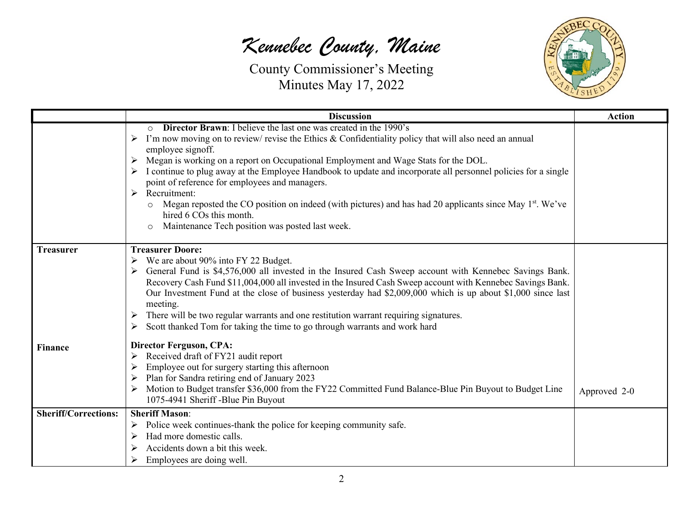

|                             | <b>Discussion</b>                                                                                                                                                                                                                                                                                                                                                                                                                                                                                                                                                                                                                                                                                                                      | <b>Action</b> |
|-----------------------------|----------------------------------------------------------------------------------------------------------------------------------------------------------------------------------------------------------------------------------------------------------------------------------------------------------------------------------------------------------------------------------------------------------------------------------------------------------------------------------------------------------------------------------------------------------------------------------------------------------------------------------------------------------------------------------------------------------------------------------------|---------------|
|                             | <b>Director Brawn:</b> I believe the last one was created in the 1990's<br>$\circ$<br>I'm now moving on to review/ revise the Ethics & Confidentiality policy that will also need an annual<br>➤<br>employee signoff.<br>Megan is working on a report on Occupational Employment and Wage Stats for the DOL.<br>➤<br>I continue to plug away at the Employee Handbook to update and incorporate all personnel policies for a single<br>point of reference for employees and managers.<br>Recruitment:<br>➤<br>Megan reposted the CO position on indeed (with pictures) and has had 20 applicants since May 1 <sup>st</sup> . We've<br>$\circ$<br>hired 6 COs this month.<br>Maintenance Tech position was posted last week.<br>$\circ$ |               |
| <b>Treasurer</b>            | <b>Treasurer Doore:</b><br>We are about 90% into FY 22 Budget.<br>General Fund is \$4,576,000 all invested in the Insured Cash Sweep account with Kennebec Savings Bank.<br>Recovery Cash Fund \$11,004,000 all invested in the Insured Cash Sweep account with Kennebec Savings Bank.<br>Our Investment Fund at the close of business yesterday had \$2,009,000 which is up about \$1,000 since last<br>meeting.<br>There will be two regular warrants and one restitution warrant requiring signatures.<br>➤<br>Scott thanked Tom for taking the time to go through warrants and work hard<br>➤                                                                                                                                      |               |
| Finance                     | <b>Director Ferguson, CPA:</b><br>Received draft of FY21 audit report<br>➤<br>Employee out for surgery starting this afternoon<br>➤<br>Plan for Sandra retiring end of January 2023<br>➤<br>Motion to Budget transfer \$36,000 from the FY22 Committed Fund Balance-Blue Pin Buyout to Budget Line<br>1075-4941 Sheriff -Blue Pin Buyout                                                                                                                                                                                                                                                                                                                                                                                               | Approved 2-0  |
| <b>Sheriff/Corrections:</b> | <b>Sheriff Mason:</b><br>Police week continues-thank the police for keeping community safe.<br>➤<br>Had more domestic calls.<br>≻<br>Accidents down a bit this week.<br>Employees are doing well.<br>⋗                                                                                                                                                                                                                                                                                                                                                                                                                                                                                                                                 |               |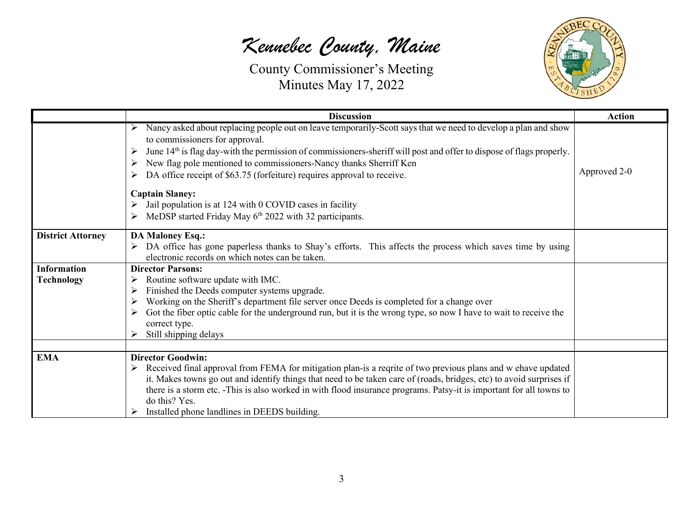

|                          | <b>Discussion</b>                                                                                                                                                                                                                                                                                                                                                                                                                               | <b>Action</b> |
|--------------------------|-------------------------------------------------------------------------------------------------------------------------------------------------------------------------------------------------------------------------------------------------------------------------------------------------------------------------------------------------------------------------------------------------------------------------------------------------|---------------|
|                          | Nancy asked about replacing people out on leave temporarily-Scott says that we need to develop a plan and show<br>to commissioners for approval.<br>June 14 <sup>th</sup> is flag day-with the permission of commissioners-sheriff will post and offer to dispose of flags properly.<br>➤<br>New flag pole mentioned to commissioners-Nancy thanks Sherriff Ken<br>➤<br>DA office receipt of \$63.75 (forfeiture) requires approval to receive. | Approved 2-0  |
|                          | <b>Captain Slaney:</b><br>Jail population is at 124 with 0 COVID cases in facility<br>MeDSP started Friday May 6 <sup>th</sup> 2022 with 32 participants.                                                                                                                                                                                                                                                                                       |               |
| <b>District Attorney</b> | <b>DA Maloney Esq.:</b><br>DA office has gone paperless thanks to Shay's efforts. This affects the process which saves time by using<br>electronic records on which notes can be taken.                                                                                                                                                                                                                                                         |               |
| <b>Information</b>       | <b>Director Parsons:</b>                                                                                                                                                                                                                                                                                                                                                                                                                        |               |
| <b>Technology</b>        | Routine software update with IMC.                                                                                                                                                                                                                                                                                                                                                                                                               |               |
|                          | Finished the Deeds computer systems upgrade.                                                                                                                                                                                                                                                                                                                                                                                                    |               |
|                          | Working on the Sheriff's department file server once Deeds is completed for a change over                                                                                                                                                                                                                                                                                                                                                       |               |
|                          | Got the fiber optic cable for the underground run, but it is the wrong type, so now I have to wait to receive the                                                                                                                                                                                                                                                                                                                               |               |
|                          | correct type.                                                                                                                                                                                                                                                                                                                                                                                                                                   |               |
|                          | Still shipping delays                                                                                                                                                                                                                                                                                                                                                                                                                           |               |
| <b>EMA</b>               | <b>Director Goodwin:</b>                                                                                                                                                                                                                                                                                                                                                                                                                        |               |
|                          | Received final approval from FEMA for mitigation plan-is a reqrite of two previous plans and w ehave updated<br>➤<br>it. Makes towns go out and identify things that need to be taken care of (roads, bridges, etc) to avoid surprises if<br>there is a storm etc. -This is also worked in with flood insurance programs. Patsy-it is important for all towns to<br>do this? Yes.<br>Installed phone landlines in DEEDS building.               |               |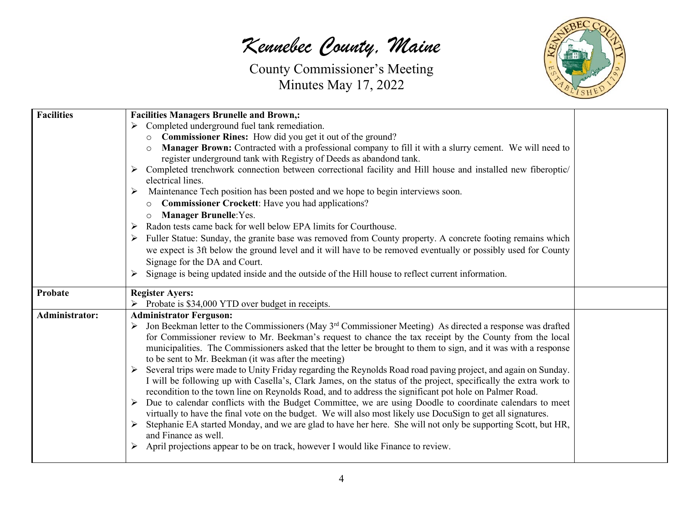*Kennebec County, Maine*



| <b>Facilities</b>     | <b>Facilities Managers Brunelle and Brown,:</b>                                                                           |  |
|-----------------------|---------------------------------------------------------------------------------------------------------------------------|--|
|                       | Completed underground fuel tank remediation.                                                                              |  |
|                       | Commissioner Rines: How did you get it out of the ground?<br>$\circ$                                                      |  |
|                       | Manager Brown: Contracted with a professional company to fill it with a slurry cement. We will need to                    |  |
|                       | register underground tank with Registry of Deeds as abandond tank.                                                        |  |
|                       | > Completed trenchwork connection between correctional facility and Hill house and installed new fiberoptic/              |  |
|                       | electrical lines.                                                                                                         |  |
|                       | Maintenance Tech position has been posted and we hope to begin interviews soon.<br>➤                                      |  |
|                       | <b>Commissioner Crockett:</b> Have you had applications?<br>$\circ$                                                       |  |
|                       | <b>Manager Brunelle: Yes.</b><br>$\circ$                                                                                  |  |
|                       | Radon tests came back for well below EPA limits for Courthouse.<br>➤                                                      |  |
|                       | Fuller Statue: Sunday, the granite base was removed from County property. A concrete footing remains which                |  |
|                       | we expect is 3ft below the ground level and it will have to be removed eventually or possibly used for County             |  |
|                       | Signage for the DA and Court.                                                                                             |  |
|                       | Signage is being updated inside and the outside of the Hill house to reflect current information.                         |  |
|                       |                                                                                                                           |  |
|                       |                                                                                                                           |  |
| Probate               | <b>Register Ayers:</b>                                                                                                    |  |
|                       | Probate is \$34,000 YTD over budget in receipts.                                                                          |  |
| <b>Administrator:</b> | <b>Administrator Ferguson:</b>                                                                                            |  |
|                       | Jon Beekman letter to the Commissioners (May 3 <sup>rd</sup> Commissioner Meeting) As directed a response was drafted     |  |
|                       | for Commissioner review to Mr. Beekman's request to chance the tax receipt by the County from the local                   |  |
|                       | municipalities. The Commissioners asked that the letter be brought to them to sign, and it was with a response            |  |
|                       | to be sent to Mr. Beekman (it was after the meeting)                                                                      |  |
|                       | > Several trips were made to Unity Friday regarding the Reynolds Road road paving project, and again on Sunday.           |  |
|                       | I will be following up with Casella's, Clark James, on the status of the project, specifically the extra work to          |  |
|                       | recondition to the town line on Reynolds Road, and to address the significant pot hole on Palmer Road.                    |  |
|                       | $\triangleright$ Due to calendar conflicts with the Budget Committee, we are using Doodle to coordinate calendars to meet |  |
|                       | virtually to have the final vote on the budget. We will also most likely use DocuSign to get all signatures.              |  |
|                       | Stephanie EA started Monday, and we are glad to have her here. She will not only be supporting Scott, but HR,             |  |
|                       | and Finance as well.                                                                                                      |  |
|                       | > April projections appear to be on track, however I would like Finance to review.                                        |  |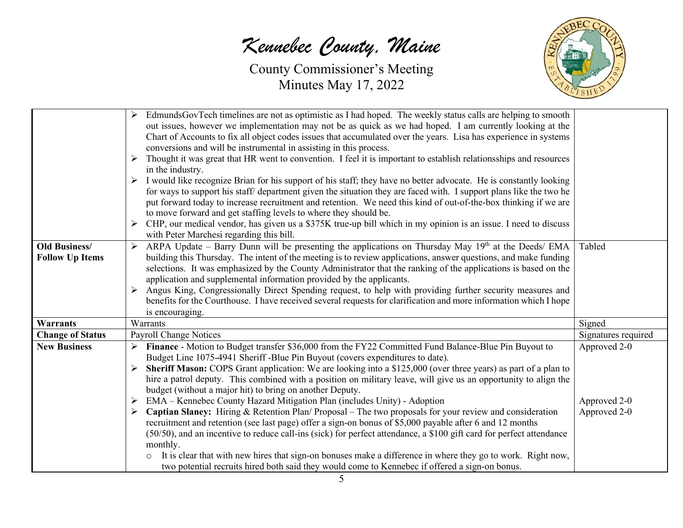

| <b>Old Business/</b><br><b>Follow Up Items</b> | EdmundsGovTech timelines are not as optimistic as I had hoped. The weekly status calls are helping to smooth<br>out issues, however we implementation may not be as quick as we had hoped. I am currently looking at the<br>Chart of Accounts to fix all object codes issues that accumulated over the years. Lisa has experience in systems<br>conversions and will be instrumental in assisting in this process.<br>> Thought it was great that HR went to convention. I feel it is important to establish relations hips and resources<br>in the industry.<br>> I would like recognize Brian for his support of his staff; they have no better advocate. He is constantly looking<br>for ways to support his staff/department given the situation they are faced with. I support plans like the two he<br>put forward today to increase recruitment and retention. We need this kind of out-of-the-box thinking if we are<br>to move forward and get staffing levels to where they should be.<br>> CHP, our medical vendor, has given us a \$375K true-up bill which in my opinion is an issue. I need to discuss<br>with Peter Marchesi regarding this bill.<br>> ARPA Update - Barry Dunn will be presenting the applications on Thursday May 19th at the Deeds/ EMA<br>building this Thursday. The intent of the meeting is to review applications, answer questions, and make funding<br>selections. It was emphasized by the County Administrator that the ranking of the applications is based on the<br>application and supplemental information provided by the applicants.<br>> Angus King, Congressionally Direct Spending request, to help with providing further security measures and<br>benefits for the Courthouse. I have received several requests for clarification and more information which I hope | Tabled                                       |
|------------------------------------------------|----------------------------------------------------------------------------------------------------------------------------------------------------------------------------------------------------------------------------------------------------------------------------------------------------------------------------------------------------------------------------------------------------------------------------------------------------------------------------------------------------------------------------------------------------------------------------------------------------------------------------------------------------------------------------------------------------------------------------------------------------------------------------------------------------------------------------------------------------------------------------------------------------------------------------------------------------------------------------------------------------------------------------------------------------------------------------------------------------------------------------------------------------------------------------------------------------------------------------------------------------------------------------------------------------------------------------------------------------------------------------------------------------------------------------------------------------------------------------------------------------------------------------------------------------------------------------------------------------------------------------------------------------------------------------------------------------------------------------------------------------------------------------------------------------------------------------|----------------------------------------------|
|                                                | is encouraging.                                                                                                                                                                                                                                                                                                                                                                                                                                                                                                                                                                                                                                                                                                                                                                                                                                                                                                                                                                                                                                                                                                                                                                                                                                                                                                                                                                                                                                                                                                                                                                                                                                                                                                                                                                                                            |                                              |
| <b>Warrants</b>                                | Warrants                                                                                                                                                                                                                                                                                                                                                                                                                                                                                                                                                                                                                                                                                                                                                                                                                                                                                                                                                                                                                                                                                                                                                                                                                                                                                                                                                                                                                                                                                                                                                                                                                                                                                                                                                                                                                   | Signed                                       |
| <b>Change of Status</b>                        | <b>Payroll Change Notices</b>                                                                                                                                                                                                                                                                                                                                                                                                                                                                                                                                                                                                                                                                                                                                                                                                                                                                                                                                                                                                                                                                                                                                                                                                                                                                                                                                                                                                                                                                                                                                                                                                                                                                                                                                                                                              | Signatures required                          |
| <b>New Business</b>                            | Finance - Motion to Budget transfer \$36,000 from the FY22 Committed Fund Balance-Blue Pin Buyout to<br>Budget Line 1075-4941 Sheriff -Blue Pin Buyout (covers expenditures to date).<br>Sheriff Mason: COPS Grant application: We are looking into a \$125,000 (over three years) as part of a plan to<br>hire a patrol deputy. This combined with a position on military leave, will give us an opportunity to align the<br>budget (without a major hit) to bring on another Deputy.<br>$\triangleright$ EMA – Kennebec County Hazard Mitigation Plan (includes Unity) - Adoption<br>Captian Slaney: Hiring & Retention Plan/ Proposal – The two proposals for your review and consideration<br>$\blacktriangleright$<br>recruitment and retention (see last page) offer a sign-on bonus of \$5,000 payable after 6 and 12 months<br>(50/50), and an incentive to reduce call-ins (sick) for perfect attendance, a \$100 gift card for perfect attendance<br>monthly.<br>It is clear that with new hires that sign-on bonuses make a difference in where they go to work. Right now,<br>$\circ$<br>two potential recruits hired both said they would come to Kennebec if offered a sign-on bonus.                                                                                                                                                                                                                                                                                                                                                                                                                                                                                                                                                                                                                        | Approved 2-0<br>Approved 2-0<br>Approved 2-0 |